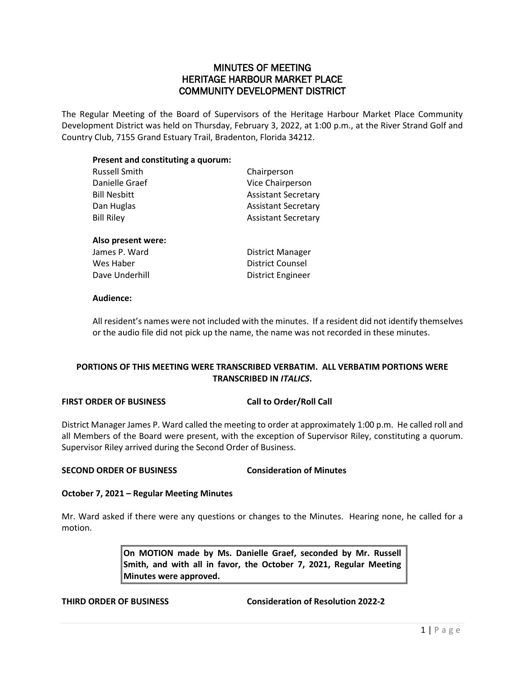# MINUTES OF MEETING HERITAGE HARBOUR MARKET PLACE COMMUNITY DEVELOPMENT DISTRICT

The Regular Meeting of the Board of Supervisors of the Heritage Harbour Market Place Community Development District was held on Thursday, February 3, 2022, at 1:00 p.m., at the River Strand Golf and Country Club, 7155 Grand Estuary Trail, Bradenton, Florida 34212.

### **Present and constituting a quorum:**

| <b>Russell Smith</b> | Chairperson                |
|----------------------|----------------------------|
| Danielle Graef       | Vice Chairperson           |
| Bill Nesbitt         | <b>Assistant Secretary</b> |
| Dan Huglas           | <b>Assistant Secretary</b> |
| <b>Bill Riley</b>    | <b>Assistant Secretary</b> |
| Also present were:   |                            |
| James P. Ward        | District Manager           |
| Wes Haber            | <b>District Counsel</b>    |
| Dave Underhill       | District Engineer          |
|                      |                            |

#### **Audience:**

All resident's names were not included with the minutes. If a resident did not identify themselves or the audio file did not pick up the name, the name was not recorded in these minutes.

# **PORTIONS OF THIS MEETING WERE TRANSCRIBED VERBATIM. ALL VERBATIM PORTIONS WERE TRANSCRIBED IN** *ITALICS***.**

## **FIRST ORDER OF BUSINESS Call to Order/Roll Call**

District Manager James P. Ward called the meeting to order at approximately 1:00 p.m. He called roll and all Members of the Board were present, with the exception of Supervisor Riley, constituting a quorum. Supervisor Riley arrived during the Second Order of Business.

# **SECOND ORDER OF BUSINESS Consideration of Minutes**

#### **October 7, 2021 – Regular Meeting Minutes**

Mr. Ward asked if there were any questions or changes to the Minutes. Hearing none, he called for a motion.

> **On MOTION made by Ms. Danielle Graef, seconded by Mr. Russell Smith, and with all in favor, the October 7, 2021, Regular Meeting Minutes were approved.**

**THIRD ORDER OF BUSINESS Consideration of Resolution 2022-2**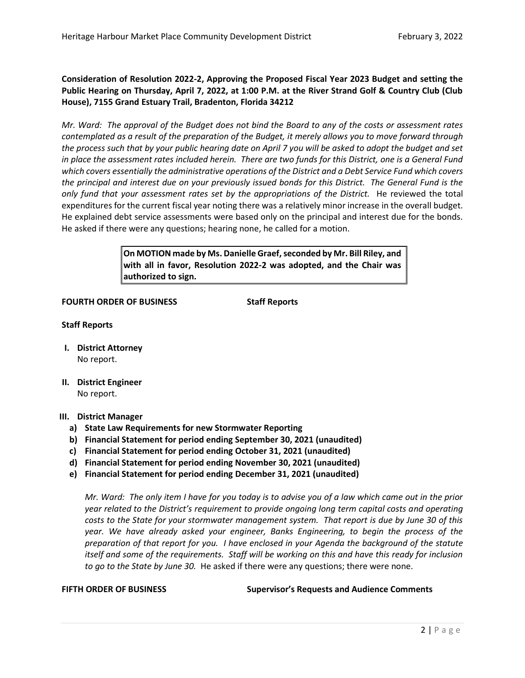**Consideration of Resolution 2022-2, Approving the Proposed Fiscal Year 2023 Budget and setting the Public Hearing on Thursday, April 7, 2022, at 1:00 P.M. at the River Strand Golf & Country Club (Club House), 7155 Grand Estuary Trail, Bradenton, Florida 34212**

*Mr. Ward: The approval of the Budget does not bind the Board to any of the costs or assessment rates contemplated as a result of the preparation of the Budget, it merely allows you to move forward through the process such that by your public hearing date on April 7 you will be asked to adopt the budget and set in place the assessment rates included herein. There are two funds for this District, one is a General Fund which covers essentially the administrative operations of the District and a Debt Service Fund which covers the principal and interest due on your previously issued bonds for this District. The General Fund is the only fund that your assessment rates set by the appropriations of the District.* He reviewed the total expenditures for the current fiscal year noting there was a relatively minor increase in the overall budget. He explained debt service assessments were based only on the principal and interest due for the bonds. He asked if there were any questions; hearing none, he called for a motion.

> **On MOTION made by Ms. Danielle Graef,seconded by Mr. Bill Riley, and with all in favor, Resolution 2022-2 was adopted, and the Chair was authorized to sign.**

#### **FOURTH ORDER OF BUSINESS Staff Reports**

### **Staff Reports**

- **I. District Attorney** No report.
- **II. District Engineer** No report.

#### **III. District Manager**

- **a) State Law Requirements for new Stormwater Reporting**
- **b) Financial Statement for period ending September 30, 2021 (unaudited)**
- **c) Financial Statement for period ending October 31, 2021 (unaudited)**
- **d) Financial Statement for period ending November 30, 2021 (unaudited)**
- **e) Financial Statement for period ending December 31, 2021 (unaudited)**

*Mr. Ward: The only item I have for you today is to advise you of a law which came out in the prior year related to the District's requirement to provide ongoing long term capital costs and operating costs to the State for your stormwater management system. That report is due by June 30 of this year. We have already asked your engineer, Banks Engineering, to begin the process of the preparation of that report for you. I have enclosed in your Agenda the background of the statute itself and some of the requirements. Staff will be working on this and have this ready for inclusion to go to the State by June 30.* He asked if there were any questions; there were none.

**FIFTH ORDER OF BUSINESS Supervisor's Requests and Audience Comments**